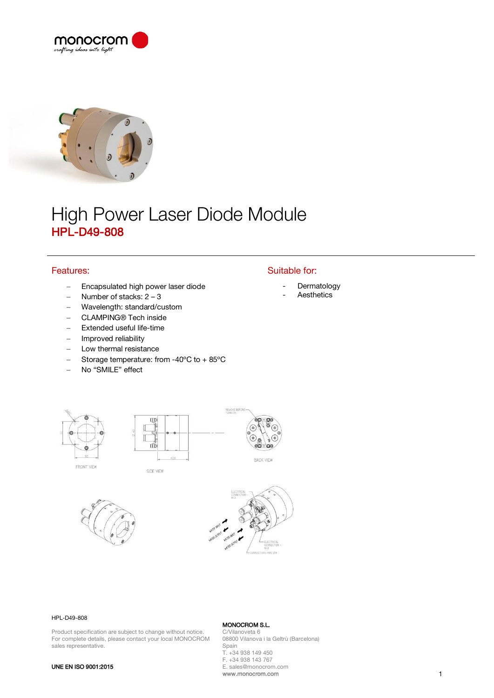



# High Power Laser Diode Module HPL-D49-808

# Features:

- − Encapsulated high power laser diode
- − Number of stacks: 2 3
- − Wavelength: standard/custom
- − CLAMPING® Tech inside
- Extended useful life-time
- − Improved reliability
- Low thermal resistance
- − Storage temperature: from -40ºC to + 85ºC
- − No "SMILE" effect

## Suitable for:

- **Dermatology**
- **Aesthetics**







SIDE VIEW



REMOVE





#### HPL-D49-808

Product specification are subject to change without notice. For complete details, please contact your local MONOCROM sales representative.

MONOCROM S.L. C/Vilanoveta 6 08800 Vilanova i la Geltrù (Barcelona) Spain T. +34 938 149 450 F. +34 938 143 767 E. sales@monocrom.com www.monocrom.com 1

### UNE EN ISO 9001:2015